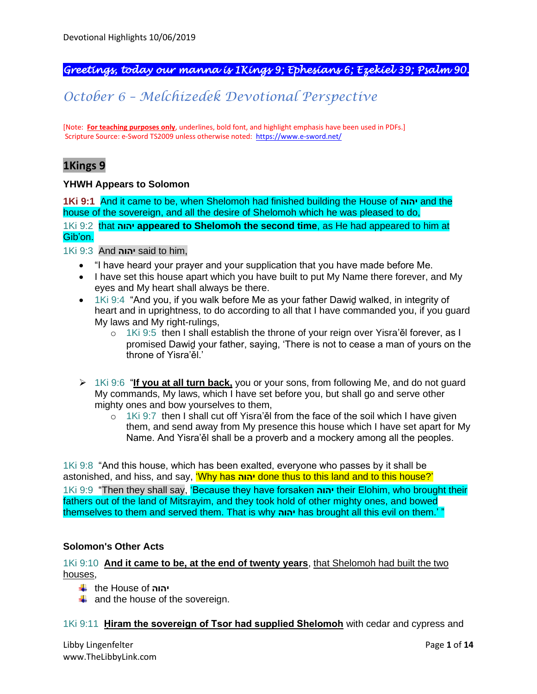# *Greetings, today our manna is 1Kings 9; Ephesians 6; Ezekiel 39; Psalm 90.*

# *October 6 – Melchizedek Devotional Perspective*

[Note: **For teaching purposes only**, underlines, bold font, and highlight emphasis have been used in PDFs.] Scripture Source: e-Sword TS2009 unless otherwise noted: <https://www.e-sword.net/>

# **1Kings 9**

### **YHWH Appears to Solomon**

**1Ki 9:1** And it came to be, when Shelomoh had finished building the House of **יהוה** and the house of the sovereign, and all the desire of Shelomoh which he was pleased to do,

1Ki 9:2 that **יהוה appeared to Shelomoh the second time**, as He had appeared to him at Gib'on.

1Ki 9:3 And **יהוה** said to him,

- "I have heard your prayer and your supplication that you have made before Me.
- I have set this house apart which you have built to put My Name there forever, and My eyes and My heart shall always be there.
- 1Ki 9:4 "And you, if you walk before Me as your father Dawid walked, in integrity of heart and in uprightness, to do according to all that I have commanded you, if you guard My laws and My right-rulings,
	- o 1Ki 9:5 then I shall establish the throne of your reign over Yisra'ěl forever, as I promised Dawiḏ your father, saying, 'There is not to cease a man of yours on the throne of Yisra'ěl.'
- ➢ 1Ki 9:6 "**If you at all turn back,** you or your sons, from following Me, and do not guard My commands, My laws, which I have set before you, but shall go and serve other mighty ones and bow yourselves to them,
	- $\circ$  1Ki 9:7 then I shall cut off Yisra'ěl from the face of the soil which I have given them, and send away from My presence this house which I have set apart for My Name. And Yisra'ěl shall be a proverb and a mockery among all the peoples.

1Ki 9:8 "And this house, which has been exalted, everyone who passes by it shall be astonished, and hiss, and say, 'Why has **יהוה** done thus to this land and to this house?' 1Ki 9:9 "Then they shall say, 'Because they have forsaken **יהוה** their Elohim, who brought their fathers out of the land of Mitsrayim, and they took hold of other mighty ones, and bowed themselves to them and served them. That is why **יהוה** has brought all this evil on them.' "

### **Solomon's Other Acts**

## 1Ki 9:10 **And it came to be, at the end of twenty years**, that Shelomoh had built the two houses,

- the House of **יהוה**
- $\frac{1}{2}$  and the house of the sovereign.

### 1Ki 9:11 **Ḥiram the sovereign of Tsor had supplied Shelomoh** with cedar and cypress and

Libby Lingenfelter **Page 1** of 14 www.TheLibbyLink.com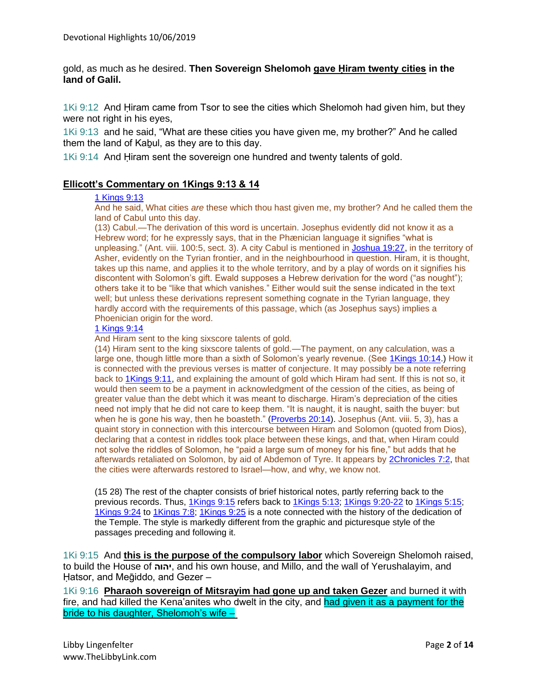gold, as much as he desired. **Then Sovereign Shelomoh gave Ḥiram twenty cities in the land of Galil.**

1Ki 9:12 And Ḥiram came from Tsor to see the cities which Shelomoh had given him, but they were not right in his eyes,

1Ki 9:13 and he said, "What are these cities you have given me, my brother?" And he called them the land of Kabul, as they are to this day.

1Ki 9:14 And Hiram sent the sovereign one hundred and twenty talents of gold.

### **Ellicott's Commentary on 1Kings 9:13 & 14**

#### [1 Kings 9:13](https://biblehub.com/1_kings/9-13.htm)

And he said, What cities *are* these which thou hast given me, my brother? And he called them the land of Cabul unto this day.

(13) Cabul.—The derivation of this word is uncertain. Josephus evidently did not know it as a Hebrew word; for he expressly says, that in the Phænician language it signifies "what is unpleasing." (Ant. viii. 100:5, sect. 3). A city Cabul is mentioned in [Joshua 19:27,](https://biblehub.com/joshua/19-27.htm) in the territory of Asher, evidently on the Tyrian frontier, and in the neighbourhood in question. Hiram, it is thought, takes up this name, and applies it to the whole territory, and by a play of words on it signifies his discontent with Solomon's gift. Ewald supposes a Hebrew derivation for the word ("as nought"); others take it to be "like that which vanishes." Either would suit the sense indicated in the text well; but unless these derivations represent something cognate in the Tyrian language, they hardly accord with the requirements of this passage, which (as Josephus says) implies a Phoenician origin for the word.

#### [1 Kings 9:14](https://biblehub.com/1_kings/9-14.htm)

And Hiram sent to the king sixscore talents of gold.

(14) Hiram sent to the king sixscore talents of gold.—The payment, on any calculation, was a large one, though little more than a sixth of Solomon's yearly revenue. (See [1Kings 10:14.](https://biblehub.com/1_kings/10-14.htm)) How it is connected with the previous verses is matter of conjecture. It may possibly be a note referring back to [1Kings 9:11,](https://biblehub.com/1_kings/9-11.htm) and explaining the amount of gold which Hiram had sent. If this is not so, it would then seem to be a payment in acknowledgment of the cession of the cities, as being of greater value than the debt which it was meant to discharge. Hiram's depreciation of the cities need not imply that he did not care to keep them. "It is naught, it is naught, saith the buyer: but when he is gone his way, then he boasteth." [\(Proverbs 20:14\)](https://biblehub.com/proverbs/20-14.htm). Josephus (Ant. viii. 5, 3), has a quaint story in connection with this intercourse between Hiram and Solomon (quoted from Dios), declaring that a contest in riddles took place between these kings, and that, when Hiram could not solve the riddles of Solomon, he "paid a large sum of money for his fine," but adds that he afterwards retaliated on Solomon, by aid of Abdemon of Tyre. It appears by [2Chronicles 7:2,](https://biblehub.com/2_chronicles/7-2.htm) that the cities were afterwards restored to Israel—how, and why, we know not.

(15 28) The rest of the chapter consists of brief historical notes, partly referring back to the previous records. Thus, [1Kings 9:15](https://biblehub.com/1_kings/9-15.htm) refers back to [1Kings 5:13;](https://biblehub.com/1_kings/5-13.htm) [1Kings 9:20-22](https://biblehub.com/context/1_kings/9-20.htm) to [1Kings 5:15;](https://biblehub.com/1_kings/5-15.htm) [1Kings 9:24](https://biblehub.com/1_kings/9-24.htm) to [1Kings 7:8;](https://biblehub.com/1_kings/7-8.htm) [1Kings 9:25](https://biblehub.com/1_kings/9-25.htm) is a note connected with the history of the dedication of the Temple. The style is markedly different from the graphic and picturesque style of the passages preceding and following it.

1Ki 9:15 And **this is the purpose of the compulsory labor** which Sovereign Shelomoh raised, to build the House of **יהוה**, and his own house, and Millo, and the wall of Yerushalayim, and Hatsor, and Meğiddo, and Gezer -

1Ki 9:16 **Pharaoh sovereign of Mitsrayim had gone up and taken Gezer** and burned it with fire, and had killed the Kena'anites who dwelt in the city, and had given it as a payment for the bride to his daughter, Shelomoh's wife –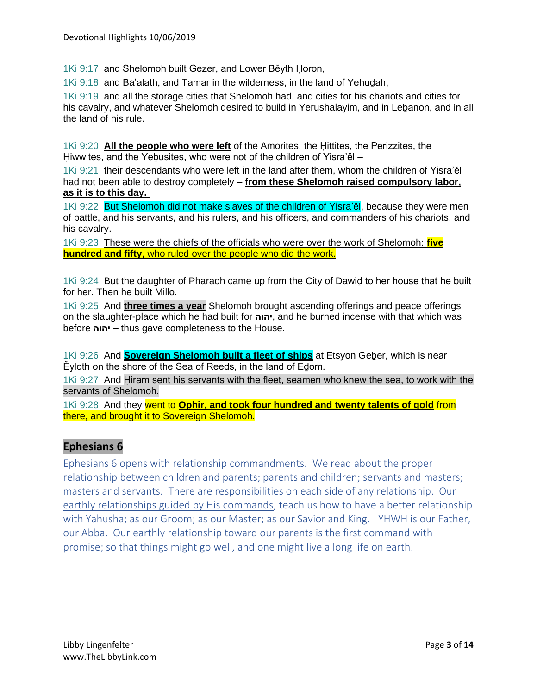1Ki 9:17 and Shelomoh built Gezer, and Lower Běyth Ḥoron,

1Ki 9:18 and Ba'alath, and Tamar in the wilderness, in the land of Yehuḏah,

1Ki 9:19 and all the storage cities that Shelomoh had, and cities for his chariots and cities for his cavalry, and whatever Shelomoh desired to build in Yerushalayim, and in Lebanon, and in all the land of his rule.

1Ki 9:20 **All the people who were left** of the Amorites, the Ḥittites, the Perizzites, the Hiwwites, and the Yebusites, who were not of the children of Yisra'ěl –

1Ki 9:21 their descendants who were left in the land after them, whom the children of Yisra'ěl had not been able to destroy completely – **from these Shelomoh raised compulsory labor, as it is to this day.**

1Ki 9:22 But Shelomoh did not make slaves of the children of Yisra'el, because they were men of battle, and his servants, and his rulers, and his officers, and commanders of his chariots, and his cavalry.

1Ki 9:23 These were the chiefs of the officials who were over the work of Shelomoh: **five hundred and fifty**, who ruled over the people who did the work.

1Ki 9:24 But the daughter of Pharaoh came up from the City of Dawiḏ to her house that he built for her. Then he built Millo.

1Ki 9:25 And **three times a year** Shelomoh brought ascending offerings and peace offerings on the slaughter-place which he had built for **יהוה**, and he burned incense with that which was before **יהוה** – thus gave completeness to the House.

1Ki 9:26 And **Sovereign Shelomoh built a fleet of ships** at Etsyon Geḇer, which is near Ěyloth on the shore of the Sea of Reeds, in the land of Eḏom.

1Ki 9:27 And Ḥiram sent his servants with the fleet, seamen who knew the sea, to work with the servants of Shelomoh.

1Ki 9:28 And they went to **Ophir, and took four hundred and twenty talents of gold** from there, and brought it to Sovereign Shelomoh.

## **Ephesians 6**

Ephesians 6 opens with relationship commandments. We read about the proper relationship between children and parents; parents and children; servants and masters; masters and servants. There are responsibilities on each side of any relationship. Our earthly relationships guided by His commands, teach us how to have a better relationship with Yahusha; as our Groom; as our Master; as our Savior and King. YHWH is our Father, our Abba. Our earthly relationship toward our parents is the first command with promise; so that things might go well, and one might live a long life on earth.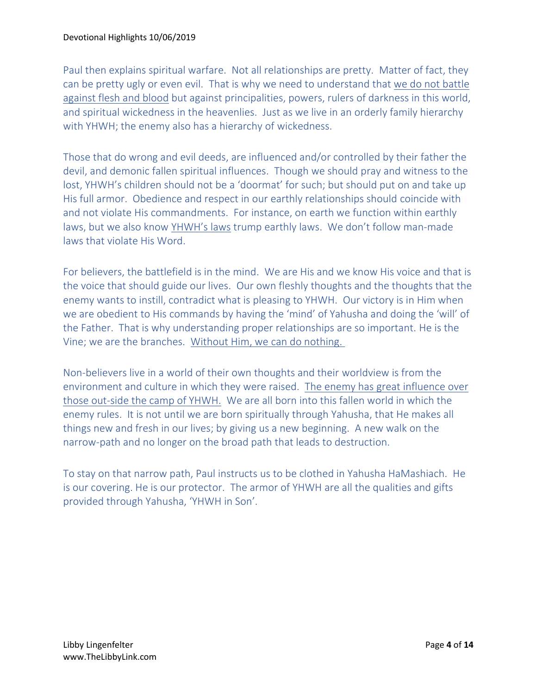Paul then explains spiritual warfare. Not all relationships are pretty. Matter of fact, they can be pretty ugly or even evil. That is why we need to understand that we do not battle against flesh and blood but against principalities, powers, rulers of darkness in this world, and spiritual wickedness in the heavenlies. Just as we live in an orderly family hierarchy with YHWH; the enemy also has a hierarchy of wickedness.

Those that do wrong and evil deeds, are influenced and/or controlled by their father the devil, and demonic fallen spiritual influences. Though we should pray and witness to the lost, YHWH's children should not be a 'doormat' for such; but should put on and take up His full armor. Obedience and respect in our earthly relationships should coincide with and not violate His commandments. For instance, on earth we function within earthly laws, but we also know YHWH's laws trump earthly laws. We don't follow man-made laws that violate His Word.

For believers, the battlefield is in the mind. We are His and we know His voice and that is the voice that should guide our lives. Our own fleshly thoughts and the thoughts that the enemy wants to instill, contradict what is pleasing to YHWH. Our victory is in Him when we are obedient to His commands by having the 'mind' of Yahusha and doing the 'will' of the Father. That is why understanding proper relationships are so important. He is the Vine; we are the branches. Without Him, we can do nothing.

Non-believers live in a world of their own thoughts and their worldview is from the environment and culture in which they were raised. The enemy has great influence over those out-side the camp of YHWH. We are all born into this fallen world in which the enemy rules. It is not until we are born spiritually through Yahusha, that He makes all things new and fresh in our lives; by giving us a new beginning. A new walk on the narrow-path and no longer on the broad path that leads to destruction.

To stay on that narrow path, Paul instructs us to be clothed in Yahusha HaMashiach. He is our covering. He is our protector. The armor of YHWH are all the qualities and gifts provided through Yahusha, 'YHWH in Son'.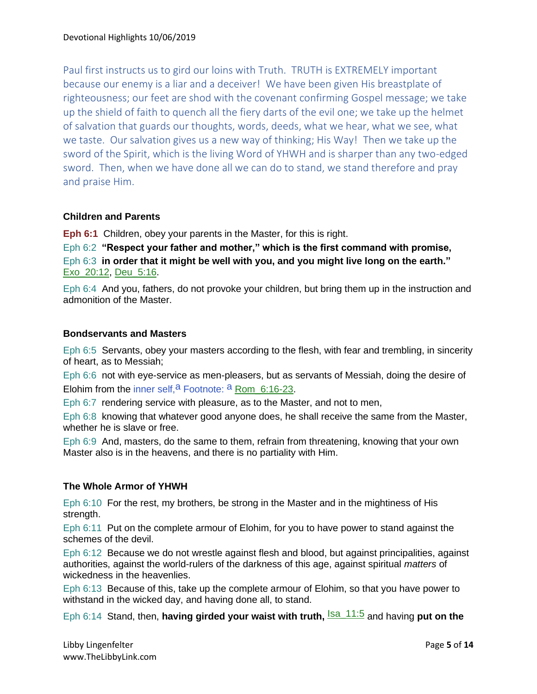Paul first instructs us to gird our loins with Truth. TRUTH is EXTREMELY important because our enemy is a liar and a deceiver! We have been given His breastplate of righteousness; our feet are shod with the covenant confirming Gospel message; we take up the shield of faith to quench all the fiery darts of the evil one; we take up the helmet of salvation that guards our thoughts, words, deeds, what we hear, what we see, what we taste. Our salvation gives us a new way of thinking; His Way! Then we take up the sword of the Spirit, which is the living Word of YHWH and is sharper than any two-edged sword. Then, when we have done all we can do to stand, we stand therefore and pray and praise Him.

## **Children and Parents**

**Eph 6:1** Children, obey your parents in the Master, for this is right.

Eph 6:2 **"Respect your father and mother," which is the first command with promise,** Eph 6:3 **in order that it might be well with you, and you might live long on the earth."** Exo\_20:12, Deu\_5:16.

Eph 6:4 And you, fathers, do not provoke your children, but bring them up in the instruction and admonition of the Master.

## **Bondservants and Masters**

Eph 6:5 Servants, obey your masters according to the flesh, with fear and trembling, in sincerity of heart, as to Messiah;

Eph 6:6 not with eye-service as men-pleasers, but as servants of Messiah, doing the desire of Elohim from the inner self,  $a$  Footnote:  $a$  Rom 6:16-23.

Eph 6:7 rendering service with pleasure, as to the Master, and not to men,

Eph 6:8 knowing that whatever good anyone does, he shall receive the same from the Master, whether he is slave or free.

Eph 6:9 And, masters, do the same to them, refrain from threatening, knowing that your own Master also is in the heavens, and there is no partiality with Him.

## **The Whole Armor of YHWH**

Eph 6:10 For the rest, my brothers, be strong in the Master and in the mightiness of His strength.

Eph 6:11 Put on the complete armour of Elohim, for you to have power to stand against the schemes of the devil.

Eph 6:12 Because we do not wrestle against flesh and blood, but against principalities, against authorities, against the world-rulers of the darkness of this age, against spiritual *matters* of wickedness in the heavenlies.

Eph 6:13 Because of this, take up the complete armour of Elohim, so that you have power to withstand in the wicked day, and having done all, to stand.

Eph 6:14 Stand, then, **having girded your waist with truth,**  $\frac{|\text{sa}_11:5}{\text{sa}_2}$  and having **put on the**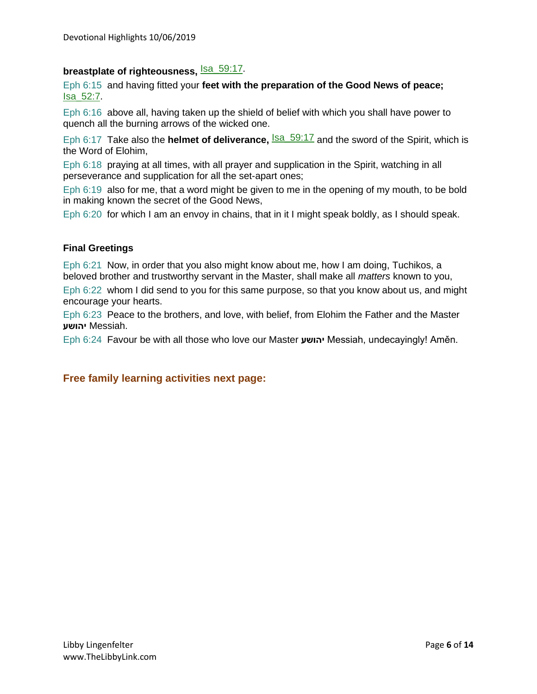# **breastplate of righteousness, Sample 158:17.**

Eph 6:15 and having fitted your **feet with the preparation of the Good News of peace;** Isa\_52:7.

Eph 6:16 above all, having taken up the shield of belief with which you shall have power to quench all the burning arrows of the wicked one.

Eph 6:17 Take also the **helmet of deliverance**, **Isa\_59:17** and the sword of the Spirit, which is the Word of Elohim,

Eph 6:18 praying at all times, with all prayer and supplication in the Spirit, watching in all perseverance and supplication for all the set-apart ones;

Eph 6:19 also for me, that a word might be given to me in the opening of my mouth, to be bold in making known the secret of the Good News,

Eph 6:20 for which I am an envoy in chains, that in it I might speak boldly, as I should speak.

## **Final Greetings**

Eph 6:21 Now, in order that you also might know about me, how I am doing, Tuchikos, a beloved brother and trustworthy servant in the Master, shall make all *matters* known to you,

Eph 6:22 whom I did send to you for this same purpose, so that you know about us, and might encourage your hearts.

Eph 6:23 Peace to the brothers, and love, with belief, from Elohim the Father and the Master .Messiah **יהושע** 

Eph 6:24 Favour be with all those who love our Master **יהושע** Messiah, undecayingly! Aměn.

## **Free family learning activities next page:**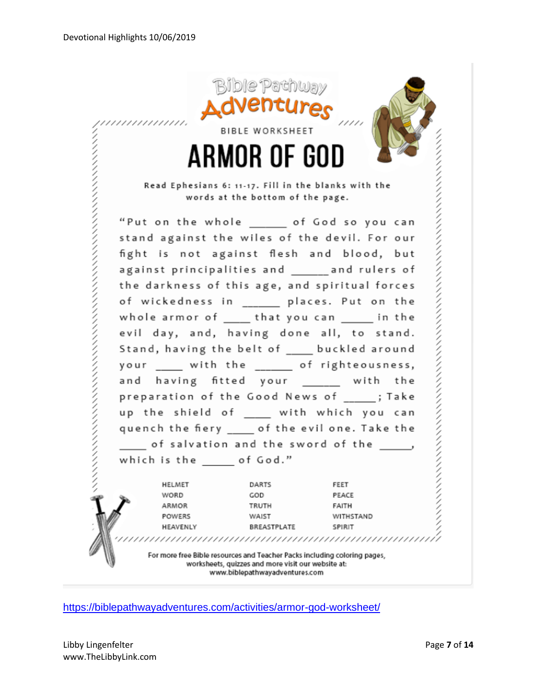

<https://biblepathwayadventures.com/activities/armor-god-worksheet/>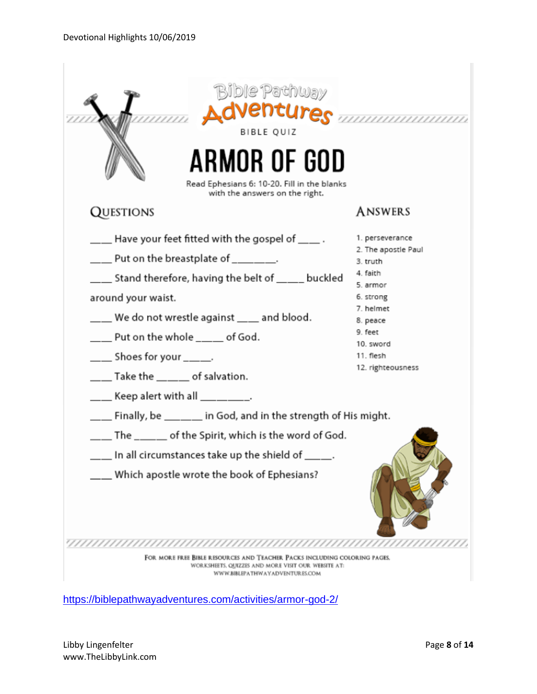| <b>Bible Pathway</b><br>Adventures mummunum<br>BIBLE QUIZ<br>ARMOR OF GOD<br>Read Ephesians 6: 10-20. Fill in the blanks<br>with the answers on the right.                                                                                                                                                                                                                                                      |                                                                                                                                                                            |  |
|-----------------------------------------------------------------------------------------------------------------------------------------------------------------------------------------------------------------------------------------------------------------------------------------------------------------------------------------------------------------------------------------------------------------|----------------------------------------------------------------------------------------------------------------------------------------------------------------------------|--|
| <b>QUESTIONS</b>                                                                                                                                                                                                                                                                                                                                                                                                | <b>ANSWERS</b>                                                                                                                                                             |  |
| $\_\_\_\$ Have your feet fitted with the gospel of $\_\_\_\$ .<br>$\_\_\_\$ Put on the breastplate of $\_\_\_\_\_\_\_\,.$<br>___ Stand therefore, having the belt of ____ buckled<br>around your waist.<br>___ We do not wrestle against ___ and blood.<br>___ Put on the whole ____ of God.<br>____ Shoes for your _____.<br>$\_\_\_\$ Take the $\_\_\_\_\$ of salvation.<br>___ Keep alert with all ________. | 1. perseverance<br>2. The apostle Paul<br>3. truth<br>4. faith<br>5. armor<br>6. strong<br>7. helmet<br>8. peace<br>9. feet<br>10. sword<br>11. flesh<br>12. righteousness |  |
| $\_\_\_\$ Finally, be $\_\_\_\_\$ in God, and in the strength of His might.                                                                                                                                                                                                                                                                                                                                     |                                                                                                                                                                            |  |
| ___ The _____ of the Spirit, which is the word of God.<br>$\_$ In all circumstances take up the shield of $\_\_$<br>Which apostle wrote the book of Ephesians?                                                                                                                                                                                                                                                  |                                                                                                                                                                            |  |
|                                                                                                                                                                                                                                                                                                                                                                                                                 |                                                                                                                                                                            |  |
| FOR MORE FREE BIBLE RESOURCES AND TEACHER PACKS INCLUDING COLORING PAGES.<br>WORKSHEETS, QUIZZES AND MORE VISIT OUR WEBSITE AT:<br>WWW.BIBLEPATHWAYADVENTUR.ES.COM                                                                                                                                                                                                                                              |                                                                                                                                                                            |  |

<https://biblepathwayadventures.com/activities/armor-god-2/>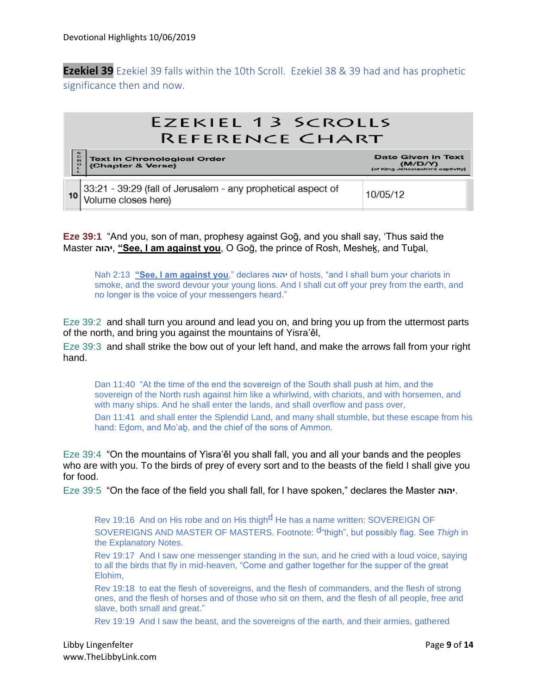**Ezekiel 39** Ezekiel 39 falls within the 10th Scroll. Ezekiel 38 & 39 had and has prophetic significance then and now.

### **EZEKIEL 13 SCROLLS REFERENCE CHART** Text in Chronological Order<br>(Chapter & Verse) Date Given in Text (M/D/Y)<br>(of King Jehoclachin's captivity) 33:21 - 39:29 (fall of Jerusalem - any prophetical aspect of 10/05/12 10 Volume closes here)

**Eze 39:1** "And you, son of man, prophesy against Goḡ, and you shall say, 'Thus said the Master **יהוה**,**" See, I am against you**, O Goḡ, the prince of Rosh, Mesheḵ, and Tuḇal,

Nah 2:13 **"See, I am against you**," declares **יהוה** of hosts, "and I shall burn your chariots in smoke, and the sword devour your young lions. And I shall cut off your prey from the earth, and no longer is the voice of your messengers heard."

Eze 39:2 and shall turn you around and lead you on, and bring you up from the uttermost parts of the north, and bring you against the mountains of Yisra'ěl,

Eze 39:3 and shall strike the bow out of your left hand, and make the arrows fall from your right hand.

Dan 11:40 "At the time of the end the sovereign of the South shall push at him, and the sovereign of the North rush against him like a whirlwind, with chariots, and with horsemen, and with many ships. And he shall enter the lands, and shall overflow and pass over, Dan 11:41 and shall enter the Splendid Land, and many shall stumble, but these escape from his hand: Edom, and Mo'ab, and the chief of the sons of Ammon.

Eze 39:4 "On the mountains of Yisra'ěl you shall fall, you and all your bands and the peoples who are with you. To the birds of prey of every sort and to the beasts of the field I shall give you for food.

Eze 39:5 "On the face of the field you shall fall, for I have spoken," declares the Master **יהוה**.

Rev 19:16 And on His robe and on His thigh<sup>d</sup> He has a name written: SOVEREIGN OF SOVEREIGNS AND MASTER OF MASTERS. Footnote: d"thigh", but possibly flag. See *Thigh* in the Explanatory Notes.

Rev 19:17 And I saw one messenger standing in the sun, and he cried with a loud voice, saying to all the birds that fly in mid-heaven, "Come and gather together for the supper of the great Elohim,

Rev 19:18 to eat the flesh of sovereigns, and the flesh of commanders, and the flesh of strong ones, and the flesh of horses and of those who sit on them, and the flesh of all people, free and slave, both small and great."

Rev 19:19 And I saw the beast, and the sovereigns of the earth, and their armies, gathered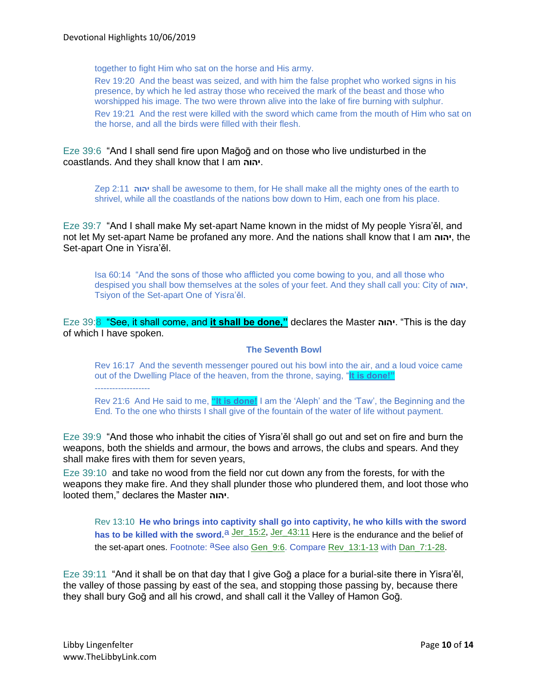together to fight Him who sat on the horse and His army.

Rev 19:20 And the beast was seized, and with him the false prophet who worked signs in his presence, by which he led astray those who received the mark of the beast and those who worshipped his image. The two were thrown alive into the lake of fire burning with sulphur.

Rev 19:21 And the rest were killed with the sword which came from the mouth of Him who sat on the horse, and all the birds were filled with their flesh.

Eze 39:6 "And I shall send fire upon Maḡoḡ and on those who live undisturbed in the coastlands. And they shall know that I am **יהוה**.

Zep 2:11 **יהוה** shall be awesome to them, for He shall make all the mighty ones of the earth to shrivel, while all the coastlands of the nations bow down to Him, each one from his place.

Eze 39:7 "And I shall make My set-apart Name known in the midst of My people Yisra'ěl, and not let My set-apart Name be profaned any more. And the nations shall know that I am **יהוה**, the Set-apart One in Yisra'ěl.

Isa 60:14 "And the sons of those who afflicted you come bowing to you, and all those who despised you shall bow themselves at the soles of your feet. And they shall call you: City of **יהוה**, Tsiyon of the Set-apart One of Yisra'ěl.

Eze 39:8 "See, it shall come, and **it shall be done,"** declares the Master **יהוה**." This is the day of which I have spoken.

#### **The Seventh Bowl**

Rev 16:17 And the seventh messenger poured out his bowl into the air, and a loud voice came out of the Dwelling Place of the heaven, from the throne, saying, "**It is done!"** -------------------

Rev 21:6 And He said to me, **"It is done!** I am the 'Aleph' and the 'Taw', the Beginning and the End. To the one who thirsts I shall give of the fountain of the water of life without payment.

Eze 39:9 "And those who inhabit the cities of Yisra'ěl shall go out and set on fire and burn the weapons, both the shields and armour, the bows and arrows, the clubs and spears. And they shall make fires with them for seven years,

Eze 39:10 and take no wood from the field nor cut down any from the forests, for with the weapons they make fire. And they shall plunder those who plundered them, and loot those who looted them," declares the Master **יהוה**.

Rev 13:10 **He who brings into captivity shall go into captivity, he who kills with the sword**  has to be killed with the sword.<sup>a Jer\_15:2, Jer\_43:11</sup> Here is the endurance and the belief of the set-apart ones. Footnote: <sup>a</sup>See also Gen\_9:6. Compare Rev\_13:1-13 with Dan\_7:1-28.

Eze 39:11 "And it shall be on that day that I give Goq a place for a burial-site there in Yisra'el, the valley of those passing by east of the sea, and stopping those passing by, because there they shall bury Goḡ and all his crowd, and shall call it the Valley of Hamon Goḡ.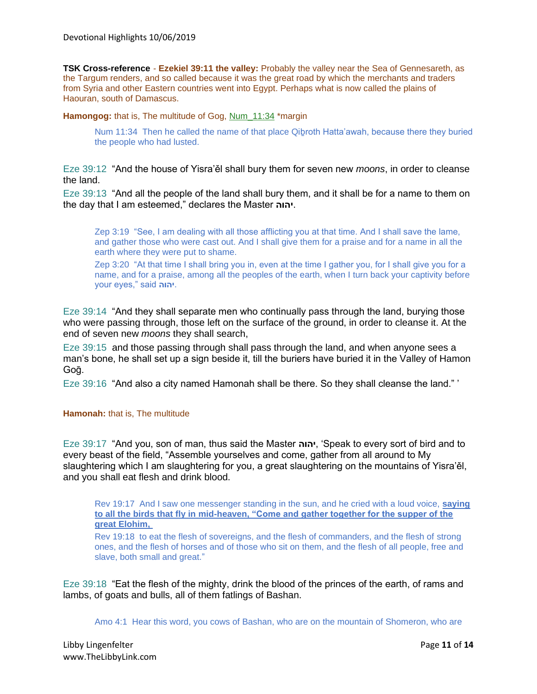**TSK Cross-reference** - **Ezekiel 39:11 the valley:** Probably the valley near the Sea of Gennesareth, as the Targum renders, and so called because it was the great road by which the merchants and traders from Syria and other Eastern countries went into Egypt. Perhaps what is now called the plains of Haouran, south of Damascus.

**Hamongog:** that is, The multitude of Gog, Num\_11:34 \*margin

Num 11:34 Then he called the name of that place Qibroth Hatta'awah, because there they buried the people who had lusted.

Eze 39:12 "And the house of Yisra'ěl shall bury them for seven new *moons*, in order to cleanse the land.

Eze 39:13 "And all the people of the land shall bury them, and it shall be for a name to them on the day that I am esteemed," declares the Master **יהוה**.

Zep 3:19 "See, I am dealing with all those afflicting you at that time. And I shall save the lame, and gather those who were cast out. And I shall give them for a praise and for a name in all the earth where they were put to shame.

Zep 3:20 "At that time I shall bring you in, even at the time I gather you, for I shall give you for a name, and for a praise, among all the peoples of the earth, when I turn back your captivity before your eyes," said **יהוה**.

Eze 39:14 "And they shall separate men who continually pass through the land, burying those who were passing through, those left on the surface of the ground, in order to cleanse it. At the end of seven new *moons* they shall search,

Eze 39:15 and those passing through shall pass through the land, and when anyone sees a man's bone, he shall set up a sign beside it, till the buriers have buried it in the Valley of Hamon Goḡ.

Eze 39:16 "And also a city named Hamonah shall be there. So they shall cleanse the land." '

#### **Hamonah:** that is, The multitude

Eze 39:17 "And you, son of man, thus said the Master **יהוה**,' Speak to every sort of bird and to every beast of the field, "Assemble yourselves and come, gather from all around to My slaughtering which I am slaughtering for you, a great slaughtering on the mountains of Yisra'ěl, and you shall eat flesh and drink blood.

Rev 19:17 And I saw one messenger standing in the sun, and he cried with a loud voice, **saying to all the birds that fly in mid-heaven, "Come and gather together for the supper of the great Elohim,**

Rev 19:18 to eat the flesh of sovereigns, and the flesh of commanders, and the flesh of strong ones, and the flesh of horses and of those who sit on them, and the flesh of all people, free and slave, both small and great."

Eze 39:18 "Eat the flesh of the mighty, drink the blood of the princes of the earth, of rams and lambs, of goats and bulls, all of them fatlings of Bashan.

Amo 4:1 Hear this word, you cows of Bashan, who are on the mountain of Shomeron, who are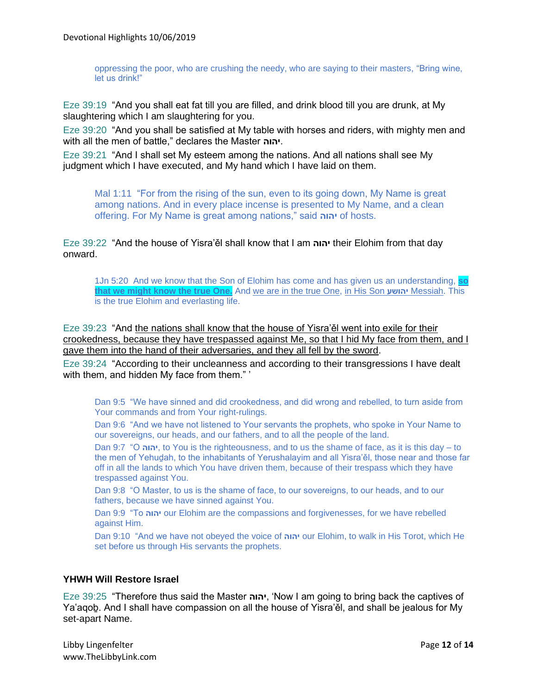oppressing the poor, who are crushing the needy, who are saying to their masters, "Bring wine, let us drink!"

Eze 39:19 "And you shall eat fat till you are filled, and drink blood till you are drunk, at My slaughtering which I am slaughtering for you.

Eze 39:20 "And you shall be satisfied at My table with horses and riders, with mighty men and with all the men of battle," declares the Master **יהוה**.

Eze 39:21 "And I shall set My esteem among the nations. And all nations shall see My judgment which I have executed, and My hand which I have laid on them.

Mal 1:11 "For from the rising of the sun, even to its going down, My Name is great among nations. And in every place incense is presented to My Name, and a clean offering. For My Name is great among nations," said **יהוה** of hosts.

Eze 39:22 "And the house of Yisra'ěl shall know that I am **יהוה** their Elohim from that day onward.

1Jn 5:20 And we know that the Son of Elohim has come and has given us an understanding, **so that we might know the true One.** And we are in the true One, in His Son **יהושע** Messiah. This is the true Elohim and everlasting life.

Eze 39:23 "And the nations shall know that the house of Yisra'ěl went into exile for their crookedness, because they have trespassed against Me, so that I hid My face from them, and I gave them into the hand of their adversaries, and they all fell by the sword.

Eze 39:24 "According to their uncleanness and according to their transgressions I have dealt with them, and hidden My face from them."

Dan 9:5 "We have sinned and did crookedness, and did wrong and rebelled, to turn aside from Your commands and from Your right-rulings.

Dan 9:6 "And we have not listened to Your servants the prophets, who spoke in Your Name to our sovereigns, our heads, and our fathers, and to all the people of the land.

Dan 9:7 "O **יהוה**, to You is the righteousness, and to us the shame of face, as it is this day – to the men of Yehuḏah, to the inhabitants of Yerushalayim and all Yisra'ěl, those near and those far off in all the lands to which You have driven them, because of their trespass which they have trespassed against You.

Dan 9:8 "O Master, to us is the shame of face, to our sovereigns, to our heads, and to our fathers, because we have sinned against You.

Dan 9:9 "To **יהוה** our Elohim are the compassions and forgivenesses, for we have rebelled against Him.

Dan 9:10 "And we have not obeyed the voice of **יהוה** our Elohim, to walk in His Torot, which He set before us through His servants the prophets.

## **YHWH Will Restore Israel**

Eze 39:25 "Therefore thus said the Master **יהוה**,' Now I am going to bring back the captives of Ya'aqoḇ. And I shall have compassion on all the house of Yisra'ěl, and shall be jealous for My set-apart Name.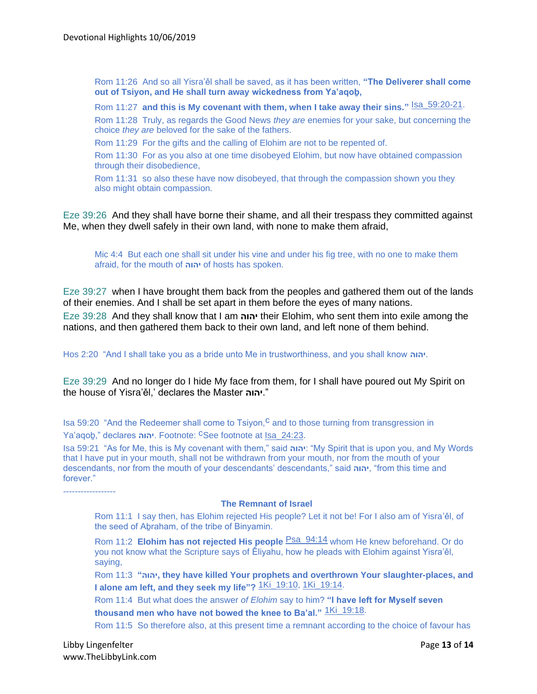Rom 11:26 And so all Yisra'ěl shall be saved, as it has been written, **"The Deliverer shall come out of Tsiyon, and He shall turn away wickedness from Ya'aqoḇ,**

Rom 11:27 and this is My covenant with them, when I take away their sins." **Isa\_59:20-21**. Rom 11:28 Truly, as regards the Good News *they are* enemies for your sake, but concerning the choice *they are* beloved for the sake of the fathers.

Rom 11:29 For the gifts and the calling of Elohim are not to be repented of.

Rom 11:30 For as you also at one time disobeyed Elohim, but now have obtained compassion through their disobedience,

Rom 11:31 so also these have now disobeyed, that through the compassion shown you they also might obtain compassion.

Eze 39:26 And they shall have borne their shame, and all their trespass they committed against Me, when they dwell safely in their own land, with none to make them afraid,

Mic 4:4 But each one shall sit under his vine and under his fig tree, with no one to make them afraid, for the mouth of **יהוה** of hosts has spoken.

Eze 39:27 when I have brought them back from the peoples and gathered them out of the lands of their enemies. And I shall be set apart in them before the eyes of many nations.

Eze 39:28 And they shall know that I am **יהוה** their Elohim, who sent them into exile among the nations, and then gathered them back to their own land, and left none of them behind.

Hos 2:20 "And I shall take you as a bride unto Me in trustworthiness, and you shall know **יהוה**.

Eze 39:29 And no longer do I hide My face from them, for I shall have poured out My Spirit on the house of Yisra'ěl,' declares the Master **יהוה**."

Isa 59:20 "And the Redeemer shall come to Tsiyon,<sup>C</sup> and to those turning from transgression in Ya'aqoḇ," declares **יהוה**. Footnote: cSee footnote at Isa\_24:23.

Isa 59:21 "As for Me, this is My covenant with them," said **יהוה**:" My Spirit that is upon you, and My Words that I have put in your mouth, shall not be withdrawn from your mouth, nor from the mouth of your descendants, nor from the mouth of your descendants' descendants," said **יהוה**," from this time and forever."

**The Remnant of Israel**

Rom 11:1 I say then, has Elohim rejected His people? Let it not be! For I also am of Yisra'ěl, of the seed of Abraham, of the tribe of Binyamin.

Rom 11:2 **Elohim has not rejected His people** Psa\_94:14 whom He knew beforehand. Or do you not know what the Scripture says of Ěliyahu, how he pleads with Elohim against Yisra'ěl, saying,

Rom 11:3 **"יהוה, they have killed Your prophets and overthrown Your slaughter-places, and I alone am left, and they seek my life"?** 1Ki\_19:10, 1Ki\_19:14.

Rom 11:4 But what does the answer *of Elohim* say to him? **"I have left for Myself seven**  thousand men who have not bowed the knee to Ba'al." **1Ki\_19:18**.

Rom 11:5 So therefore also, at this present time a remnant according to the choice of favour has

------------------